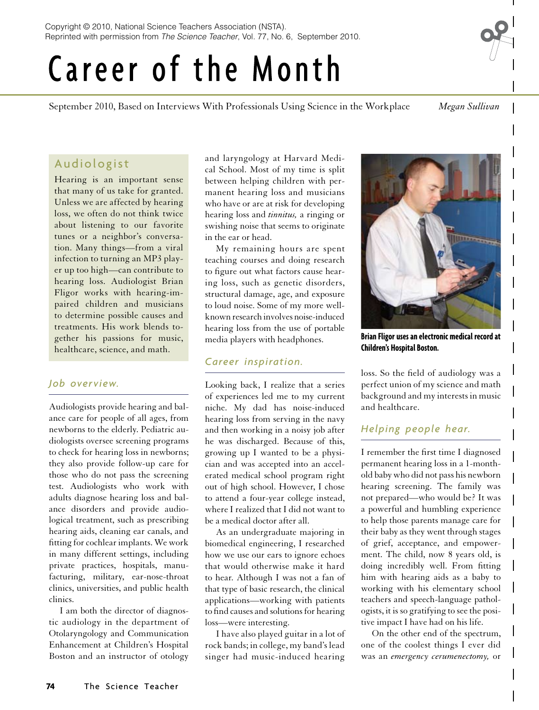# Career of the Month

September 2010, Based on Interviews With Professionals Using Science in the Workplace *Megan Sullivan*

# Audiologist

Hearing is an important sense that many of us take for granted. Unless we are affected by hearing loss, we often do not think twice about listening to our favorite tunes or a neighbor's conversation. Many things—from a viral infection to turning an MP3 player up too high—can contribute to hearing loss. Audiologist Brian Fligor works with hearing-impaired children and musicians to determine possible causes and treatments. His work blends together his passions for music, healthcare, science, and math.

### *Job overview.*

Audiologists provide hearing and balance care for people of all ages, from newborns to the elderly. Pediatric audiologists oversee screening programs to check for hearing loss in newborns; they also provide follow-up care for those who do not pass the screening test. Audiologists who work with adults diagnose hearing loss and balance disorders and provide audiological treatment, such as prescribing hearing aids, cleaning ear canals, and fitting for cochlear implants. We work in many different settings, including private practices, hospitals, manufacturing, military, ear-nose-throat clinics, universities, and public health clinics.

I am both the director of diagnostic audiology in the department of Otolaryngology and Communication Enhancement at Children's Hospital Boston and an instructor of otology

and laryngology at Harvard Medical School. Most of my time is split between helping children with permanent hearing loss and musicians who have or are at risk for developing hearing loss and *tinnitus,* a ringing or swishing noise that seems to originate in the ear or head.

My remaining hours are spent teaching courses and doing research to figure out what factors cause hearing loss, such as genetic disorders, structural damage, age, and exposure to loud noise. Some of my more wellknown research involves noise-induced hearing loss from the use of portable media players with headphones.

## *Career inspiration.*

Looking back, I realize that a series of experiences led me to my current niche. My dad has noise-induced hearing loss from serving in the navy and then working in a noisy job after he was discharged. Because of this, growing up I wanted to be a physician and was accepted into an accelerated medical school program right out of high school. However, I chose to attend a four-year college instead, where I realized that I did not want to be a medical doctor after all.

As an undergraduate majoring in biomedical engineering, I researched how we use our ears to ignore echoes that would otherwise make it hard to hear. Although I was not a fan of that type of basic research, the clinical applications—working with patients to find causes and solutions for hearing loss—were interesting.

I have also played guitar in a lot of rock bands; in college, my band's lead singer had music-induced hearing



**Brian Fligor uses an electronic medical record at Children's Hospital Boston.**

loss. So the field of audiology was a perfect union of my science and math background and my interests in music and healthcare.

## *Helping people hear.*

I remember the first time I diagnosed permanent hearing loss in a 1-monthold baby who did not pass his newborn hearing screening. The family was not prepared—who would be? It was a powerful and humbling experience to help those parents manage care for their baby as they went through stages of grief, acceptance, and empowerment. The child, now 8 years old, is doing incredibly well. From fitting him with hearing aids as a baby to working with his elementary school teachers and speech-language pathologists, it is so gratifying to see the positive impact I have had on his life.

On the other end of the spectrum, one of the coolest things I ever did was an *emergency cerumenectomy,* or